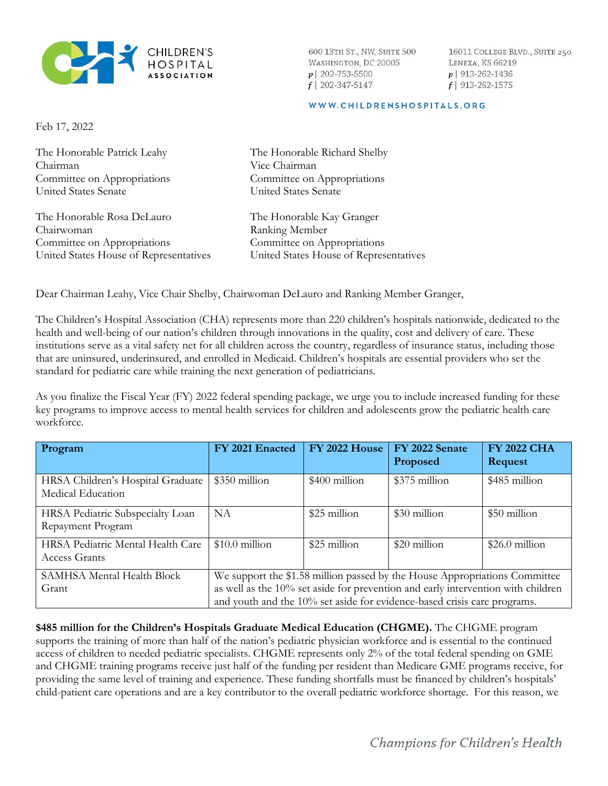

600 13TH ST., NW, SUITE 500 WASHINGTON, DC 20005  $p$ | 202-753-5500  $f$ | 202-347-5147

16011 COLLEGE BLVD., SUITE 250 LENEXA, KS 66219  $p$ | 913-262-1436  $f$ | 913-262-1575

## WWW.CHILDRENSHOSPITALS.ORG

Feb 17, 2022

The Honorable Patrick Leahy The Honorable Richard Shelby Chairman Vice Chairman Committee on Appropriations Committee on Appropriations United States Senate United States Senate The Honorable Rosa DeLauro The Honorable Kay Granger Chairwoman Ranking Member Committee on Appropriations Committee on Appropriations United States House of Representatives United States House of Representatives

Dear Chairman Leahy, Vice Chair Shelby, Chairwoman DeLauro and Ranking Member Granger,

The Children's Hospital Association (CHA) represents more than 220 children's hospitals nationwide, dedicated to the health and well-being of our nation's children through innovations in the quality, cost and delivery of care. These institutions serve as a vital safety net for all children across the country, regardless of insurance status, including those that are uninsured, underinsured, and enrolled in Medicaid. Children's hospitals are essential providers who set the standard for pediatric care while training the next generation of pediatricians.

As you finalize the Fiscal Year (FY) 2022 federal spending package, we urge you to include increased funding for these key programs to improve access to mental health services for children and adolescents grow the pediatric health care workforce.

| Program                                                   | FY 2021 Enacted                                                                                                                                                                                                                            | <b>FY 2022 House</b> | FY 2022 Senate<br>Proposed | <b>FY 2022 CHA</b><br><b>Request</b> |
|-----------------------------------------------------------|--------------------------------------------------------------------------------------------------------------------------------------------------------------------------------------------------------------------------------------------|----------------------|----------------------------|--------------------------------------|
| HRSA Children's Hospital Graduate<br>Medical Education    | \$350 million                                                                                                                                                                                                                              | \$400 million        | \$375 million              | \$485 million                        |
| HRSA Pediatric Subspecialty Loan<br>Repayment Program     | NA.                                                                                                                                                                                                                                        | \$25 million         | \$30 million               | \$50 million                         |
| HRSA Pediatric Mental Health Care<br><b>Access Grants</b> | $$10.0$ million                                                                                                                                                                                                                            | \$25 million         | \$20 million               | $$26.0$ million                      |
| SAMHSA Mental Health Block<br>Grant                       | We support the \$1.58 million passed by the House Appropriations Committee<br>as well as the 10% set aside for prevention and early intervention with children<br>and youth and the 10% set aside for evidence-based crisis care programs. |                      |                            |                                      |

**\$485 million for the Children's Hospitals Graduate Medical Education (CHGME).** The CHGME program supports the training of more than half of the nation's pediatric physician workforce and is essential to the continued access of children to needed pediatric specialists. CHGME represents only 2% of the total federal spending on GME and CHGME training programs receive just half of the funding per resident than Medicare GME programs receive, for providing the same level of training and experience. These funding shortfalls must be financed by children's hospitals' child-patient care operations and are a key contributor to the overall pediatric workforce shortage. For this reason, we